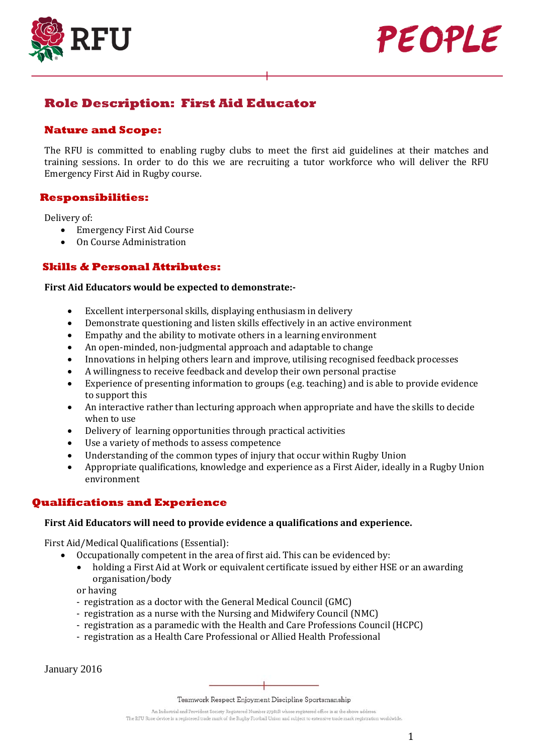



# **Role Description: First Aid Educator**

### **Nature and Scope:**

The RFU is committed to enabling rugby clubs to meet the first aid guidelines at their matches and training sessions. In order to do this we are recruiting a tutor workforce who will deliver the RFU Emergency First Aid in Rugby course.

## **Responsibilities:**

Delivery of:<br>• Eme

- Emergency First Aid Course
- On Course Administration

## **Skills & Personal Attributes:**

#### **First Aid Educators would be expected to demonstrate:-**

- Excellent interpersonal skills, displaying enthusiasm in delivery
- Demonstrate questioning and listen skills effectively in an active environment
- Empathy and the ability to motivate others in a learning environment<br>• An open-minded, non-judgmental approach and adaptable to change
- An open-minded, non-judgmental approach and adaptable to change
- Innovations in helping others learn and improve, utilising recognised feedback processes
- A willingness to receive feedback and develop their own personal practise
- Experience of presenting information to groups (e.g. teaching) and is able to provide evidence to support this
- An interactive rather than lecturing approach when appropriate and have the skills to decide when to use
- Delivery of learning opportunities through practical activities
- Use a variety of methods to assess competence
- Understanding of the common types of injury that occur within Rugby Union<br>• Appropriate qualifications, knowledge and experience as a First Aider, ideally
- Appropriate qualifications, knowledge and experience as a First Aider, ideally in a Rugby Union environment

## **Qualifications and Experience**

#### **First Aid Educators will need to provide evidence a qualifications and experience.**

First Aid/Medical Qualifications (Essential):

- Occupationally competent in the area of first aid. This can be evidenced by:
	- holding a First Aid at Work or equivalent certificate issued by either HSE or an awarding organisation/body

or having

- registration as a doctor with the General Medical Council (GMC)
- registration as a nurse with the Nursing and Midwifery Council (NMC)
- registration as a paramedic with the Health and Care Professions Council (HCPC)
- registration as a Health Care Professional or Allied Health Professional

January 2016

Teamwork Respect Enjoyment Discipline Sportsmanship

An Industrial and Provident Society Registered Number 27981R whose registered office is at the above address. The RFU Rose device is a registered trade mark of the Rugby Football Union and subject to extensive trade mark registration worldwide.